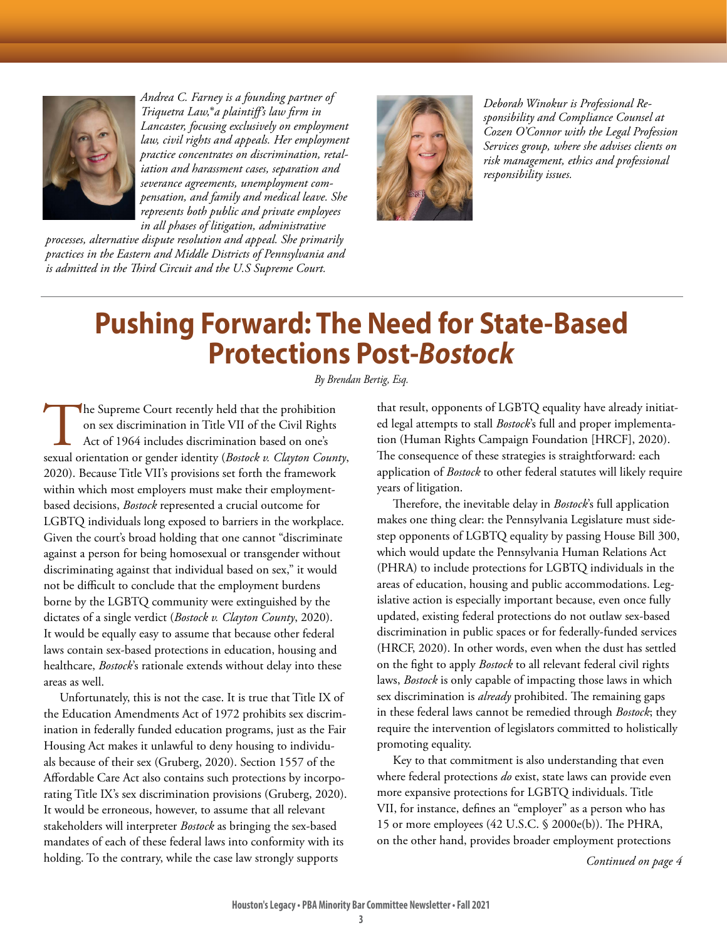

*Andrea C. Farney is a founding partner of Triquetra Law,***®***a plaintiff's law firm in Lancaster, focusing exclusively on employment law, civil rights and appeals. Her employment practice concentrates on discrimination, retaliation and harassment cases, separation and severance agreements, unemployment compensation, and family and medical leave. She represents both public and private employees in all phases of litigation, administrative* 

*processes, alternative dispute resolution and appeal. She primarily practices in the Eastern and Middle Districts of Pennsylvania and is admitted in the Third Circuit and the U.S Supreme Court.*



*Deborah Winokur is Professional Responsibility and Compliance Counsel at Cozen O'Connor with the Legal Profession Services group, where she advises clients on risk management, ethics and professional responsibility issues.*

## **Pushing Forward: The Need for State-Based Protections Post-***Bostock*

*By Brendan Bertig, Esq.*

The Supreme Court recently held that the prohibition on sex discrimination in Title VII of the Civil Rights Act of 1964 includes discrimination based on one's sexual orientation or gender identity (*Bostock v. Clayton Coun* on sex discrimination in Title VII of the Civil Rights Act of 1964 includes discrimination based on one's 2020). Because Title VII's provisions set forth the framework within which most employers must make their employmentbased decisions, *Bostock* represented a crucial outcome for LGBTQ individuals long exposed to barriers in the workplace. Given the court's broad holding that one cannot "discriminate against a person for being homosexual or transgender without discriminating against that individual based on sex," it would not be difficult to conclude that the employment burdens borne by the LGBTQ community were extinguished by the dictates of a single verdict (*Bostock v. Clayton County*, 2020). It would be equally easy to assume that because other federal laws contain sex-based protections in education, housing and healthcare, *Bostock*'s rationale extends without delay into these areas as well.

Unfortunately, this is not the case. It is true that Title IX of the Education Amendments Act of 1972 prohibits sex discrimination in federally funded education programs, just as the Fair Housing Act makes it unlawful to deny housing to individuals because of their sex (Gruberg, 2020). Section 1557 of the Affordable Care Act also contains such protections by incorporating Title IX's sex discrimination provisions (Gruberg, 2020). It would be erroneous, however, to assume that all relevant stakeholders will interpreter *Bostock* as bringing the sex-based mandates of each of these federal laws into conformity with its holding. To the contrary, while the case law strongly supports

that result, opponents of LGBTQ equality have already initiated legal attempts to stall *Bostock*'s full and proper implementation (Human Rights Campaign Foundation [HRCF], 2020). The consequence of these strategies is straightforward: each application of *Bostock* to other federal statutes will likely require years of litigation.

Therefore, the inevitable delay in *Bostock*'s full application makes one thing clear: the Pennsylvania Legislature must sidestep opponents of LGBTQ equality by passing House Bill 300, which would update the Pennsylvania Human Relations Act (PHRA) to include protections for LGBTQ individuals in the areas of education, housing and public accommodations. Legislative action is especially important because, even once fully updated, existing federal protections do not outlaw sex-based discrimination in public spaces or for federally-funded services (HRCF, 2020). In other words, even when the dust has settled on the fight to apply *Bostock* to all relevant federal civil rights laws, *Bostock* is only capable of impacting those laws in which sex discrimination is *already* prohibited. The remaining gaps in these federal laws cannot be remedied through *Bostock*; they require the intervention of legislators committed to holistically promoting equality.

Key to that commitment is also understanding that even where federal protections *do* exist, state laws can provide even more expansive protections for LGBTQ individuals. Title VII, for instance, defines an "employer" as a person who has 15 or more employees (42 U.S.C. § 2000e(b)). The PHRA, on the other hand, provides broader employment protections

*Continued on page 4*